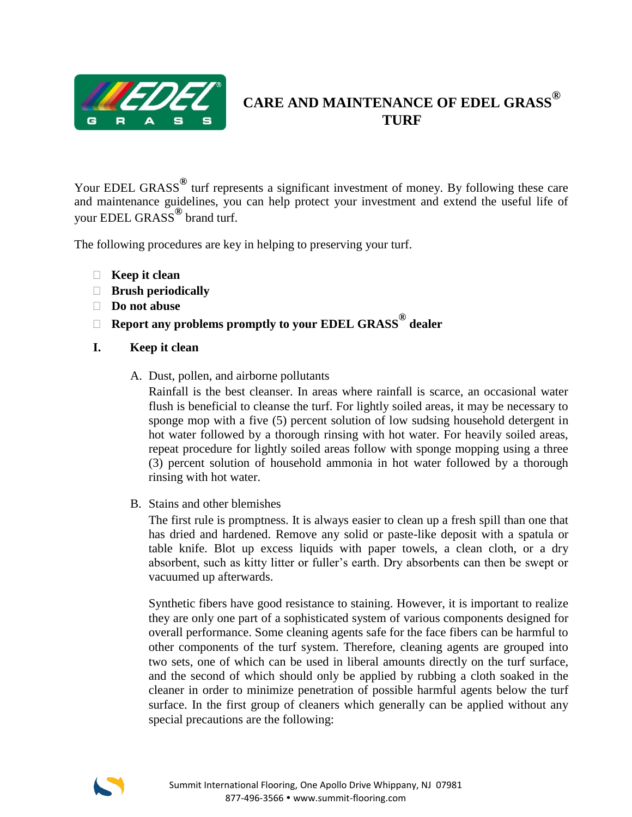

# **CARE AND MAINTENANCE OF EDEL GRASS® TURF**

Your EDEL GRASS<sup><sup>®</sup> turf represents a significant investment of money. By following these care</sup> and maintenance guidelines, you can help protect your investment and extend the useful life of your EDEL GRASS**®** brand turf.

The following procedures are key in helping to preserving your turf.

- **Keep it clean**
- **Brush periodically**
- **Do not abuse**
- **Report any problems promptly to your EDEL GRASS® dealer**

#### **I. Keep it clean**

A. Dust, pollen, and airborne pollutants

Rainfall is the best cleanser. In areas where rainfall is scarce, an occasional water flush is beneficial to cleanse the turf. For lightly soiled areas, it may be necessary to sponge mop with a five (5) percent solution of low sudsing household detergent in hot water followed by a thorough rinsing with hot water. For heavily soiled areas, repeat procedure for lightly soiled areas follow with sponge mopping using a three (3) percent solution of household ammonia in hot water followed by a thorough rinsing with hot water.

B. Stains and other blemishes

The first rule is promptness. It is always easier to clean up a fresh spill than one that has dried and hardened. Remove any solid or paste-like deposit with a spatula or table knife. Blot up excess liquids with paper towels, a clean cloth, or a dry absorbent, such as kitty litter or fuller's earth. Dry absorbents can then be swept or vacuumed up afterwards.

Synthetic fibers have good resistance to staining. However, it is important to realize they are only one part of a sophisticated system of various components designed for overall performance. Some cleaning agents safe for the face fibers can be harmful to other components of the turf system. Therefore, cleaning agents are grouped into two sets, one of which can be used in liberal amounts directly on the turf surface, and the second of which should only be applied by rubbing a cloth soaked in the cleaner in order to minimize penetration of possible harmful agents below the turf surface. In the first group of cleaners which generally can be applied without any special precautions are the following:

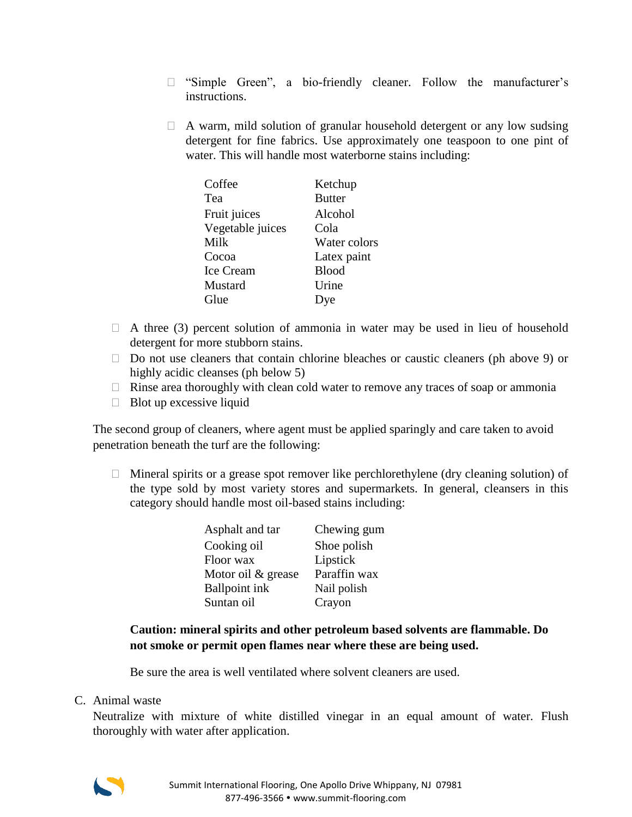- □ "Simple Green", a bio-friendly cleaner. Follow the manufacturer's instructions.
- $\Box$  A warm, mild solution of granular household detergent or any low sudsing detergent for fine fabrics. Use approximately one teaspoon to one pint of water. This will handle most waterborne stains including:

| Ketchup       |
|---------------|
| <b>Butter</b> |
| Alcohol       |
| Cola          |
| Water colors  |
| Latex paint   |
| <b>Blood</b>  |
| Urine         |
| Dye           |
|               |

- $\Box$  A three (3) percent solution of ammonia in water may be used in lieu of household detergent for more stubborn stains.
- $\Box$  Do not use cleaners that contain chlorine bleaches or caustic cleaners (ph above 9) or highly acidic cleanses (ph below 5)
- $\Box$  Rinse area thoroughly with clean cold water to remove any traces of soap or ammonia
- $\Box$  Blot up excessive liquid

The second group of cleaners, where agent must be applied sparingly and care taken to avoid penetration beneath the turf are the following:

 $\Box$  Mineral spirits or a grease spot remover like perchlorethylene (dry cleaning solution) of the type sold by most variety stores and supermarkets. In general, cleansers in this category should handle most oil-based stains including:

| Asphalt and tar      | Chewing gum  |
|----------------------|--------------|
| Cooking oil          | Shoe polish  |
| Floor wax            | Lipstick     |
| Motor oil & grease   | Paraffin wax |
| <b>Ballpoint ink</b> | Nail polish  |
| Suntan oil           | Crayon       |

# **Caution: mineral spirits and other petroleum based solvents are flammable. Do not smoke or permit open flames near where these are being used.**

Be sure the area is well ventilated where solvent cleaners are used.

#### C. Animal waste

Neutralize with mixture of white distilled vinegar in an equal amount of water. Flush thoroughly with water after application.

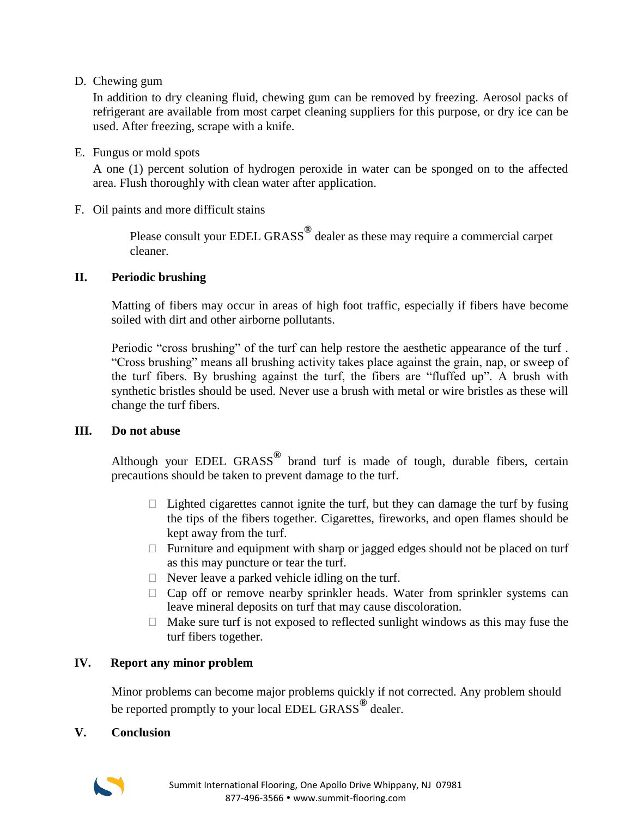D. Chewing gum

In addition to dry cleaning fluid, chewing gum can be removed by freezing. Aerosol packs of refrigerant are available from most carpet cleaning suppliers for this purpose, or dry ice can be used. After freezing, scrape with a knife.

E. Fungus or mold spots

A one (1) percent solution of hydrogen peroxide in water can be sponged on to the affected area. Flush thoroughly with clean water after application.

F. Oil paints and more difficult stains

Please consult your EDEL GRASS**®** dealer as these may require a commercial carpet cleaner.

#### **II. Periodic brushing**

Matting of fibers may occur in areas of high foot traffic, especially if fibers have become soiled with dirt and other airborne pollutants.

Periodic "cross brushing" of the turf can help restore the aesthetic appearance of the turf . "Cross brushing" means all brushing activity takes place against the grain, nap, or sweep of the turf fibers. By brushing against the turf, the fibers are "fluffed up". A brush with synthetic bristles should be used. Never use a brush with metal or wire bristles as these will change the turf fibers.

#### **III. Do not abuse**

Although your EDEL GRASS**®** brand turf is made of tough, durable fibers, certain precautions should be taken to prevent damage to the turf.

- $\Box$  Lighted cigarettes cannot ignite the turf, but they can damage the turf by fusing the tips of the fibers together. Cigarettes, fireworks, and open flames should be kept away from the turf.
- $\Box$  Furniture and equipment with sharp or jagged edges should not be placed on turf as this may puncture or tear the turf.
- $\Box$  Never leave a parked vehicle idling on the turf.
- $\Box$  Cap off or remove nearby sprinkler heads. Water from sprinkler systems can leave mineral deposits on turf that may cause discoloration.
- $\Box$  Make sure turf is not exposed to reflected sunlight windows as this may fuse the turf fibers together.

## **IV. Report any minor problem**

Minor problems can become major problems quickly if not corrected. Any problem should be reported promptly to your local EDEL GRASS**®** dealer.

## **V. Conclusion**